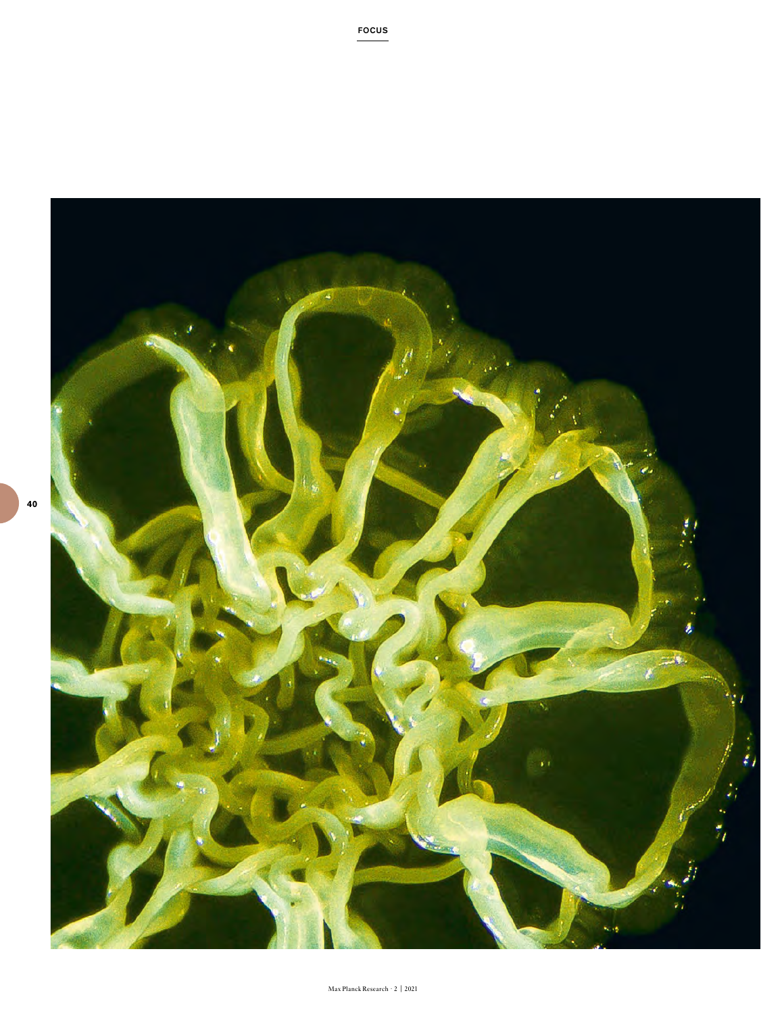

FOCUS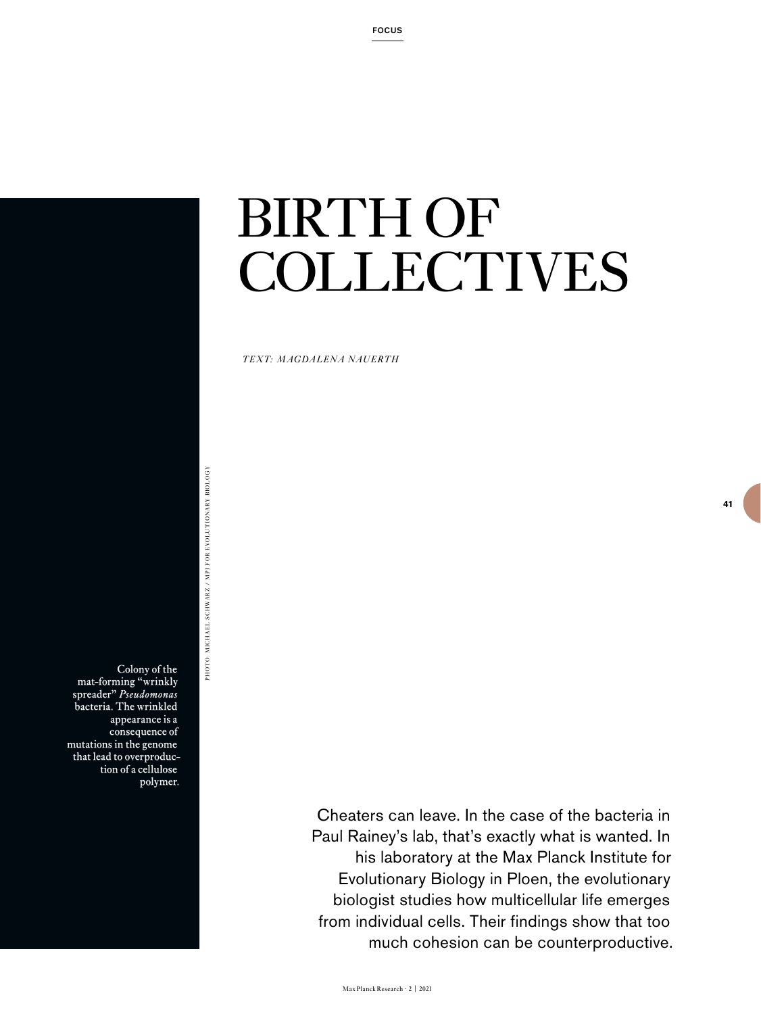# BIRTH OF COLLECTIVES

*TEXT: MAGDALENA NAUERTH* 

PHOTO: MICHAEL SCHWARZ / MPI FOR EVOLUTIONARY BIOLOGY PHOTO: MICHAEL SCHWARZ / MPI FOR EVOLUTIONARY BIOLOGY

Colony of the

mat-forming "wrinkly spreader" *Pseu* ia. The wrin appearance is a consequence of mutations in the genome that lead to overproduction of a cellulose polymer.

> Cheaters can leave. In the case of the bacteria in Paul Rainey's lab, that's exactly what is wanted. In his laboratory at the Max Planck Institute for Evolutionary Biology in Ploen, the evolutionary biologist studies how multicellular life emerges from individual cells. Their findings show that too much cohesion can be counterproductive.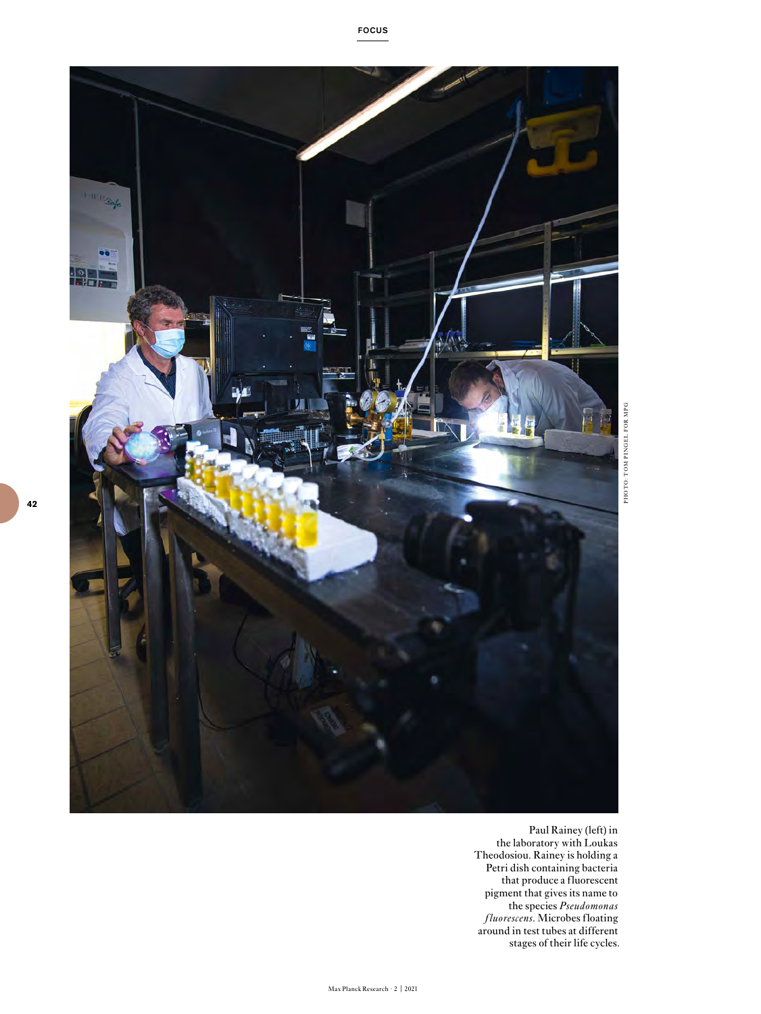

FOCUS

Paul Rainey (left) in the laboratory with Loukas Theodosiou. Rainey is holding a Petri dish containing bacteria that produce a fluorescent pigment that gives its name to the species *Pseudomonas fluorescens*. Microbes floating around in test tubes at different stages of their life cycles.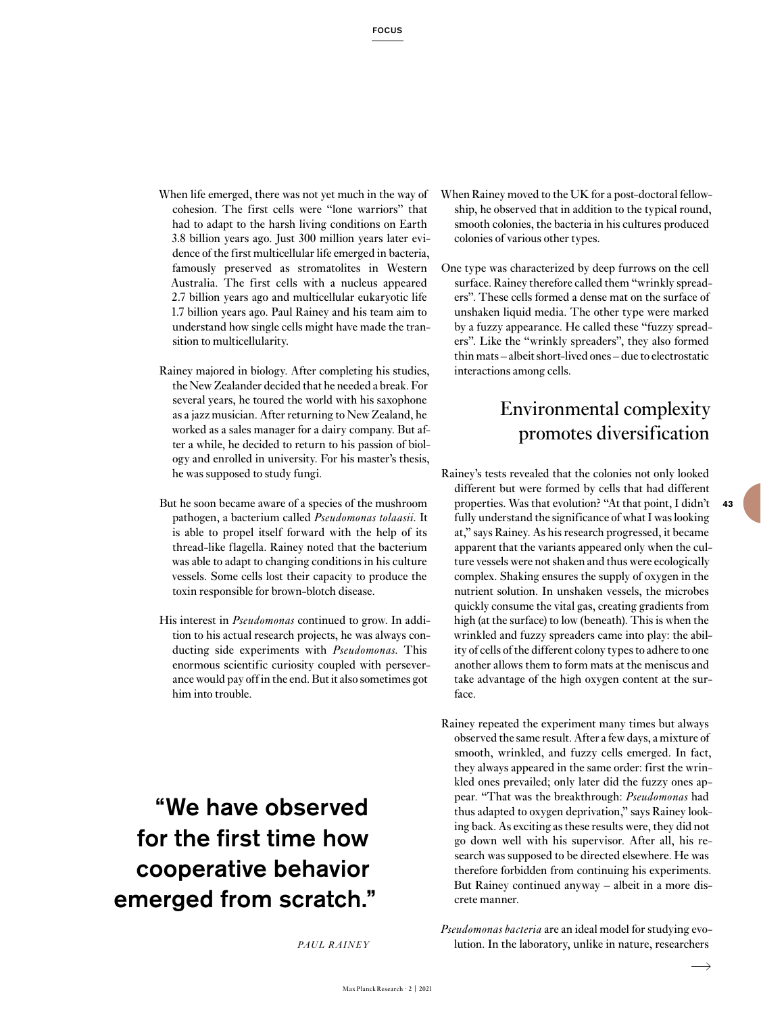- When life emerged, there was not yet much in the way of cohesion. The first cells were "lone warriors" that had to adapt to the harsh living conditions on Earth 3.8 billion years ago. Just 300 million years later evidence of the first multicellular life emerged in bacteria, famously preserved as stromatolites in Western Australia. The first cells with a nucleus appeared 2.7 billion years ago and multicellular eukaryotic life 1.7 billion years ago. Paul Rainey and his team aim to understand how single cells might have made the transition to multicellularity.
- Rainey majored in biology. After completing his studies, the New Zealander decided that he needed a break. For several years, he toured the world with his saxophone as a jazz musician. After returning to New Zealand, he worked as a sales manager for a dairy company. But after a while, he decided to return to his passion of biology and enrolled in university. For his master's thesis, he was supposed to study fungi.
- But he soon became aware of a species of the mushroom pathogen, a bacterium called *Pseudomonas tolaasii.* It is able to propel itself forward with the help of its thread-like flagella. Rainey noted that the bacterium was able to adapt to changing conditions in his culture vessels. Some cells lost their capacity to produce the toxin responsible for brown-blotch disease.
- His interest in *Pseudomonas* continued to grow. In addition to his actual research projects, he was always conducting side experiments with *Pseudomonas*. This enormous scientific curiosity coupled with perseverance would pay off in the end. But it also sometimes got him into trouble.

"We have observed for the first time how cooperative behavior emerged from scratch."

- When Rainey moved to the UK for a post-doctoral fellowship, he observed that in addition to the typical round, smooth colonies, the bacteria in his cultures produced colonies of various other types.
- One type was characterized by deep furrows on the cell surface. Rainey therefore called them "wrinkly spreaders". These cells formed a dense mat on the surface of unshaken liquid media. The other type were marked by a fuzzy appearance. He called these "fuzzy spreaders". Like the "wrinkly spreaders", they also formed thin mats – albeit short-lived ones – due to electrostatic interactions among cells.

## Environmental complexity promotes diversification

- Rainey's tests revealed that the colonies not only looked different but were formed by cells that had different properties. Was that evolution? "At that point, I didn't fully understand the significance of what I was looking at," says Rainey. As his research progressed, it became apparent that the variants appeared only when the culture vessels were not shaken and thus were ecologically complex. Shaking ensures the supply of oxygen in the nutrient solution. In unshaken vessels, the microbes quickly consume the vital gas, creating gradients from high (at the surface) to low (beneath). This is when the wrinkled and fuzzy spreaders came into play: the ability of cells of the different colony types to adhere to one another allows them to form mats at the meniscus and take advantage of the high oxygen content at the surface.
- Rainey repeated the experiment many times but always observed the same result. After a few days, a mixture of smooth, wrinkled, and fuzzy cells emerged. In fact, they always appeared in the same order: first the wrinkled ones prevailed; only later did the fuzzy ones appear. "That was the breakthrough: *Pseudomonas* had thus adapted to oxygen deprivation," says Rainey looking back. As exciting as these results were, they did not go down well with his supervisor. After all, his research was supposed to be directed elsewhere. He was therefore forbidden from continuing his experiments. But Rainey continued anyway – albeit in a more discrete manner.

*PAUL RAINEY*

Max Planck Research · 2 | 2021

*Pseudomonas bacteria* are an ideal model for studying evolution. In the laboratory, unlike in nature, researchers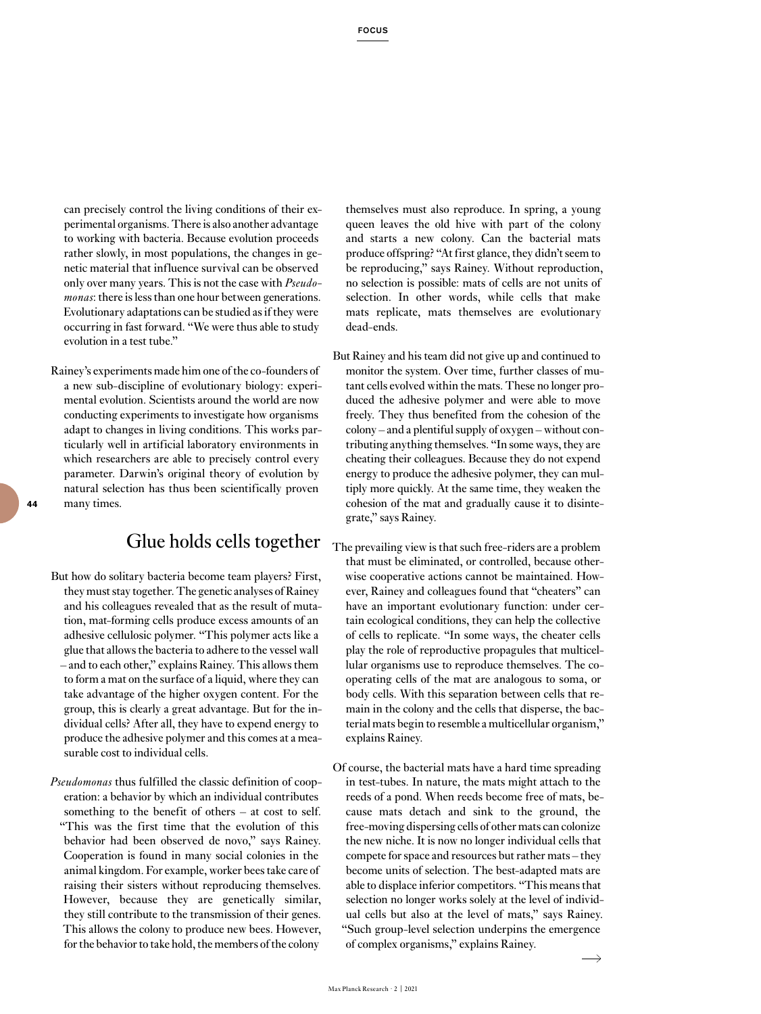can precisely control the living conditions of their experimental organisms. There is also another advantage to working with bacteria. Because evolution proceeds rather slowly, in most populations, the changes in genetic material that influence survival can be observed only over many years. This is not the case with *Pseudomonas*: there is less than one hour between generations. Evolutionary adaptations can be studied as if they were occurring in fast forward. "We were thus able to study evolution in a test tube."

Rainey's experiments made him one of the co-founders of a new sub-discipline of evolutionary biology: experimental evolution. Scientists around the world are now conducting experiments to investigate how organisms adapt to changes in living conditions. This works particularly well in artificial laboratory environments in which researchers are able to precisely control every parameter. Darwin's original theory of evolution by natural selection has thus been scientifically proven many times.

Glue holds cells together

- But how do solitary bacteria become team players? First, they must stay together. The genetic analyses of Rainey and his colleagues revealed that as the result of mutation, mat-forming cells produce excess amounts of an adhesive cellulosic polymer. "This polymer acts like a glue that allows the bacteria to adhere to the vessel wall – and to each other," explains Rainey. This allows them to form a mat on the surface of a liquid, where they can take advantage of the higher oxygen content. For the group, this is clearly a great advantage. But for the individual cells? After all, they have to expend energy to produce the adhesive polymer and this comes at a measurable cost to individual cells.
- *Pseudomonas* thus fulfilled the classic definition of cooperation: a behavior by which an individual contributes something to the benefit of others – at cost to self. "This was the first time that the evolution of this behavior had been observed de novo," says Rainey. Cooperation is found in many social colonies in the animal kingdom. For example, worker bees take care of raising their sisters without reproducing themselves. However, because they are genetically similar, they still contribute to the transmission of their genes. This allows the colony to produce new bees. However, for the behavior to take hold, the members of the colony

themselves must also reproduce. In spring, a young queen leaves the old hive with part of the colony and starts a new colony. Can the bacterial mats produce offspring? "At first glance, they didn't seem to be reproducing," says Rainey. Without reproduction, no selection is possible: mats of cells are not units of selection. In other words, while cells that make mats replicate, mats themselves are evolutionary dead-ends.

- But Rainey and his team did not give up and continued to monitor the system. Over time, further classes of mutant cells evolved within the mats. These no longer produced the adhesive polymer and were able to move freely. They thus benefited from the cohesion of the colony – and a plentiful supply of oxygen – without contributing anything themselves. "In some ways, they are cheating their colleagues. Because they do not expend energy to produce the adhesive polymer, they can multiply more quickly. At the same time, they weaken the cohesion of the mat and gradually cause it to disintegrate," says Rainey.
- The prevailing view is that such free-riders are a problem that must be eliminated, or controlled, because otherwise cooperative actions cannot be maintained. However, Rainey and colleagues found that "cheaters" can have an important evolutionary function: under certain ecological conditions, they can help the collective of cells to replicate. "In some ways, the cheater cells play the role of reproductive propagules that multicellular organisms use to reproduce themselves. The cooperating cells of the mat are analogous to soma, or body cells. With this separation between cells that remain in the colony and the cells that disperse, the bacterial mats begin to resemble a multicellular organism," explains Rainey.
- Of course, the bacterial mats have a hard time spreading in test-tubes. In nature, the mats might attach to the reeds of a pond. When reeds become free of mats, because mats detach and sink to the ground, the free-moving dispersing cells of other mats can colonize the new niche. It is now no longer individual cells that compete for space and resources but rather mats – they become units of selection. The best-adapted mats are able to displace inferior competitors. "This means that selection no longer works solely at the level of individual cells but also at the level of mats," says Rainey. "Such group-level selection underpins the emergence of complex organisms," explains Rainey.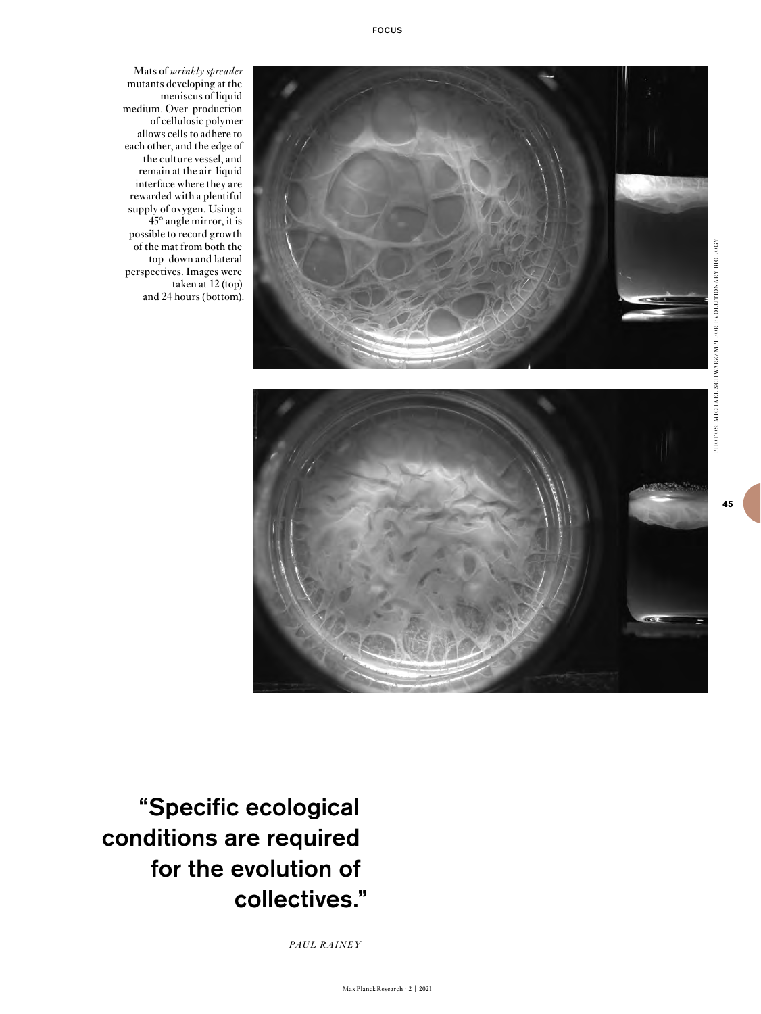

Mats of *wrinkly spreader* mutants developing at the meniscus of liquid medium. Over-production of cellulosic polymer allows cells to adhere to each other, and the edge of the culture vessel, and remain at the air-liquid interface where they are rewarded with a plentiful supply of oxygen. Using a 45° angle mirror, it is possible to record growth of the mat from both the top-down and lateral perspectives. Images were taken at 12 (top) and 24 hours (bottom).



"Specific ecological conditions are required for the evolution of collectives."

*PAUL RAINEY*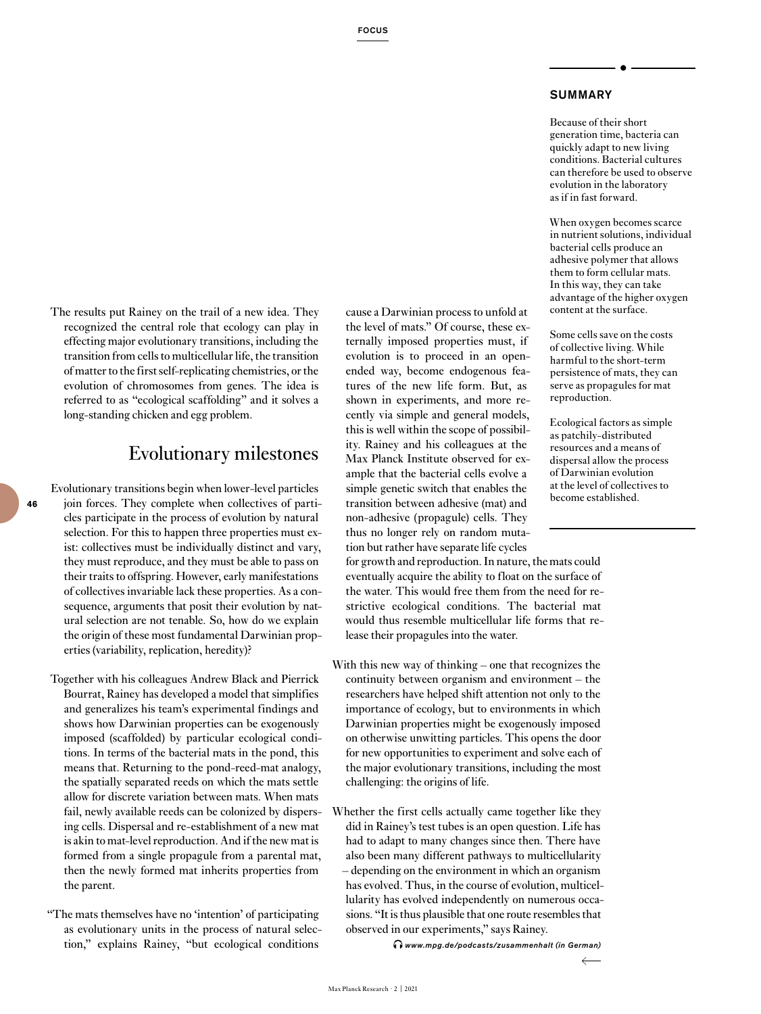#### **SUMMARY**

Because of their short generation time, bacteria can quickly adapt to new living conditions. Bacterial cultures can therefore be used to observe evolution in the laboratory as if in fast forward.

When oxygen becomes scarce in nutrient solutions, individual bacterial cells produce an adhesive polymer that allows them to form cellular mats. In this way, they can take advantage of the higher oxygen content at the surface.

Some cells save on the costs of collective living. While harmful to the short-term persistence of mats, they can serve as propagules for mat reproduction.

Ecological factors as simple as patchily-distributed resources and a means of dispersal allow the process of Darwinian evolution at the level of collectives to<br>become established.

The results put Rainey on the trail of a new idea. They recognized the central role that ecology can play in effecting major evolutionary transitions, including the transition from cells to multicellular life, the transition of matter to the first self-replicating chemistries, or the evolution of chromosomes from genes. The idea is referred to as "ecological scaffolding" and it solves a long-standing chicken and egg problem.

### Evolutionary milestones

Evolutionary transitions begin when lower-level particles 46 join forces. They complete when collectives of parti-<br>
transition between adhesive (mat) and become established. cles participate in the process of evolution by natural selection. For this to happen three properties must exist: collectives must be individually distinct and vary, they must reproduce, and they must be able to pass on their traits to offspring. However, early manifestations of collectives invariable lack these properties. As a consequence, arguments that posit their evolution by natural selection are not tenable. So, how do we explain the origin of these most fundamental Darwinian properties (variability, replication, heredity)?

- Together with his colleagues Andrew Black and Pierrick Bourrat, Rainey has developed a model that simplifies and generalizes his team's experimental findings and shows how Darwinian properties can be exogenously imposed (scaffolded) by particular ecological conditions. In terms of the bacterial mats in the pond, this means that. Returning to the pond-reed-mat analogy, the spatially separated reeds on which the mats settle allow for discrete variation between mats. When mats fail, newly available reeds can be colonized by dispersing cells. Dispersal and re-establishment of a new mat is akin to mat-level reproduction. And if the new mat is formed from a single propagule from a parental mat, then the newly formed mat inherits properties from the parent.
- "The mats themselves have no 'intention' of participating as evolutionary units in the process of natural selection," explains Rainey, "but ecological conditions

cause a Darwinian process to unfold at the level of mats." Of course, these externally imposed properties must, if evolution is to proceed in an openended way, become endogenous features of the new life form. But, as shown in experiments, and more recently via simple and general models, this is well within the scope of possibility. Rainey and his colleagues at the Max Planck Institute observed for example that the bacterial cells evolve a simple genetic switch that enables the transition between adhesive (mat) and non-adhesive (propagule) cells. They thus no longer rely on random mutation but rather have separate life cycles

for growth and reproduction. In nature, the mats could eventually acquire the ability to float on the surface of the water. This would free them from the need for restrictive ecological conditions. The bacterial mat would thus resemble multicellular life forms that release their propagules into the water.

- With this new way of thinking one that recognizes the continuity between organism and environment – the researchers have helped shift attention not only to the importance of ecology, but to environments in which Darwinian properties might be exogenously imposed on otherwise unwitting particles. This opens the door for new opportunities to experiment and solve each of the major evolutionary transitions, including the most challenging: the origins of life.
- Whether the first cells actually came together like they did in Rainey's test tubes is an open question. Life has had to adapt to many changes since then. There have also been many different pathways to multicellularity – depending on the environment in which an organism has evolved. Thus, in the course of evolution, multicellularity has evolved independently on numerous occasions. "It is thus plausible that one route resembles that observed in our experiments," says Rainey.

 *www.mpg.de/podcasts/zusammenhalt (in German)*